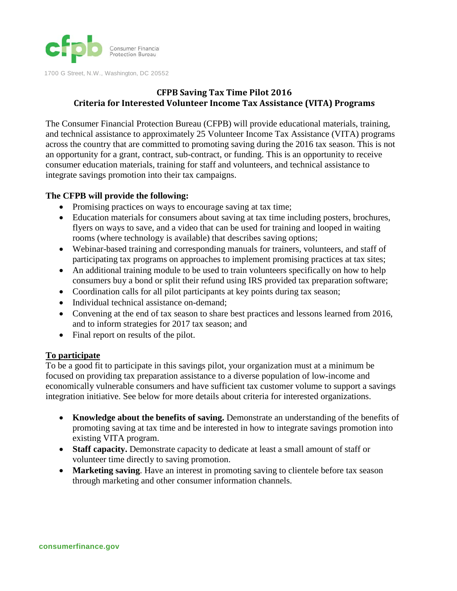

**CFPB Saving Tax Time Pilot 2016 Criteria for Interested Volunteer Income Tax Assistance (VITA) Programs**

The Consumer Financial Protection Bureau (CFPB) will provide educational materials, training, and technical assistance to approximately 25 Volunteer Income Tax Assistance (VITA) programs across the country that are committed to promoting saving during the 2016 tax season. This is not an opportunity for a grant, contract, sub-contract, or funding. This is an opportunity to receive consumer education materials, training for staff and volunteers, and technical assistance to integrate savings promotion into their tax campaigns.

## **The CFPB will provide the following:**

- Promising practices on ways to encourage saving at tax time;
- Education materials for consumers about saving at tax time including posters, brochures, flyers on ways to save, and a video that can be used for training and looped in waiting rooms (where technology is available) that describes saving options;
- Webinar-based training and corresponding manuals for trainers, volunteers, and staff of participating tax programs on approaches to implement promising practices at tax sites;
- An additional training module to be used to train volunteers specifically on how to help consumers buy a bond or split their refund using IRS provided tax preparation software;
- Coordination calls for all pilot participants at key points during tax season;
- Individual technical assistance on-demand;
- Convening at the end of tax season to share best practices and lessons learned from 2016, and to inform strategies for 2017 tax season; and
- Final report on results of the pilot.

## **To participate**

To be a good fit to participate in this savings pilot, your organization must at a minimum be focused on providing tax preparation assistance to a diverse population of low-income and economically vulnerable consumers and have sufficient tax customer volume to support a savings integration initiative. See below for more details about criteria for interested organizations.

- **Knowledge about the benefits of saving.** Demonstrate an understanding of the benefits of promoting saving at tax time and be interested in how to integrate savings promotion into existing VITA program.
- **Staff capacity.** Demonstrate capacity to dedicate at least a small amount of staff or volunteer time directly to saving promotion.
- **Marketing saving**. Have an interest in promoting saving to clientele before tax season through marketing and other consumer information channels.